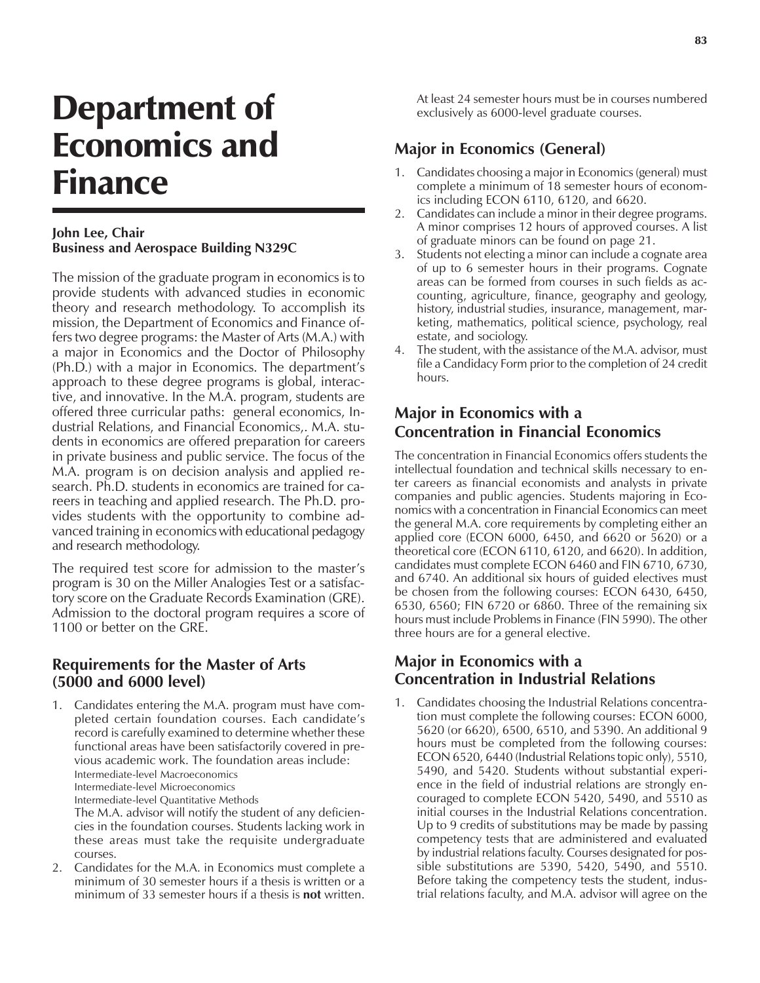# Department of Economics and Finance

## **John Lee, Chair Business and Aerospace Building N329C**

The mission of the graduate program in economics is to provide students with advanced studies in economic theory and research methodology. To accomplish its mission, the Department of Economics and Finance offers two degree programs: the Master of Arts (M.A.) with a major in Economics and the Doctor of Philosophy (Ph.D.) with a major in Economics. The department's approach to these degree programs is global, interactive, and innovative. In the M.A. program, students are offered three curricular paths: general economics, Industrial Relations, and Financial Economics,. M.A. students in economics are offered preparation for careers in private business and public service. The focus of the M.A. program is on decision analysis and applied research. Ph.D. students in economics are trained for careers in teaching and applied research. The Ph.D. provides students with the opportunity to combine advanced training in economics with educational pedagogy and research methodology.

The required test score for admission to the master's program is 30 on the Miller Analogies Test or a satisfactory score on the Graduate Records Examination (GRE). Admission to the doctoral program requires a score of 1100 or better on the GRE.

# **Requirements for the Master of Arts (5000 and 6000 level)**

1. Candidates entering the M.A. program must have completed certain foundation courses. Each candidateís record is carefully examined to determine whether these functional areas have been satisfactorily covered in previous academic work. The foundation areas include: Intermediate-level Macroeconomics Intermediate-level Microeconomics Intermediate-level Quantitative Methods

The M.A. advisor will notify the student of any deficiencies in the foundation courses. Students lacking work in these areas must take the requisite undergraduate courses.

2. Candidates for the M.A. in Economics must complete a minimum of 30 semester hours if a thesis is written or a minimum of 33 semester hours if a thesis is **not** written.

At least 24 semester hours must be in courses numbered exclusively as 6000-level graduate courses.

# **Major in Economics (General)**

- 1. Candidates choosing a major in Economics (general) must complete a minimum of 18 semester hours of economics including ECON 6110, 6120, and 6620.
- 2. Candidates can include a minor in their degree programs. A minor comprises 12 hours of approved courses. A list of graduate minors can be found on page 21.
- 3. Students not electing a minor can include a cognate area of up to 6 semester hours in their programs. Cognate areas can be formed from courses in such fields as accounting, agriculture, finance, geography and geology, history, industrial studies, insurance, management, marketing, mathematics, political science, psychology, real estate, and sociology.
- 4. The student, with the assistance of the M.A. advisor, must file a Candidacy Form prior to the completion of 24 credit hours.

# **Major in Economics with a Concentration in Financial Economics**

The concentration in Financial Economics offers students the intellectual foundation and technical skills necessary to enter careers as financial economists and analysts in private companies and public agencies. Students majoring in Economics with a concentration in Financial Economics can meet the general M.A. core requirements by completing either an applied core (ECON 6000, 6450, and 6620 or 5620) or a theoretical core (ECON 6110, 6120, and 6620). In addition, candidates must complete ECON 6460 and FIN 6710, 6730, and 6740. An additional six hours of guided electives must be chosen from the following courses: ECON 6430, 6450, 6530, 6560; FIN 6720 or 6860. Three of the remaining six hours must include Problems in Finance (FIN 5990). The other three hours are for a general elective.

# **Major in Economics with a Concentration in Industrial Relations**

1. Candidates choosing the Industrial Relations concentration must complete the following courses: ECON 6000, 5620 (or 6620), 6500, 6510, and 5390. An additional 9 hours must be completed from the following courses: ECON 6520, 6440 (Industrial Relations topic only), 5510, 5490, and 5420. Students without substantial experience in the field of industrial relations are strongly encouraged to complete ECON 5420, 5490, and 5510 as initial courses in the Industrial Relations concentration. Up to 9 credits of substitutions may be made by passing competency tests that are administered and evaluated by industrial relations faculty. Courses designated for possible substitutions are 5390, 5420, 5490, and 5510. Before taking the competency tests the student, industrial relations faculty, and M.A. advisor will agree on the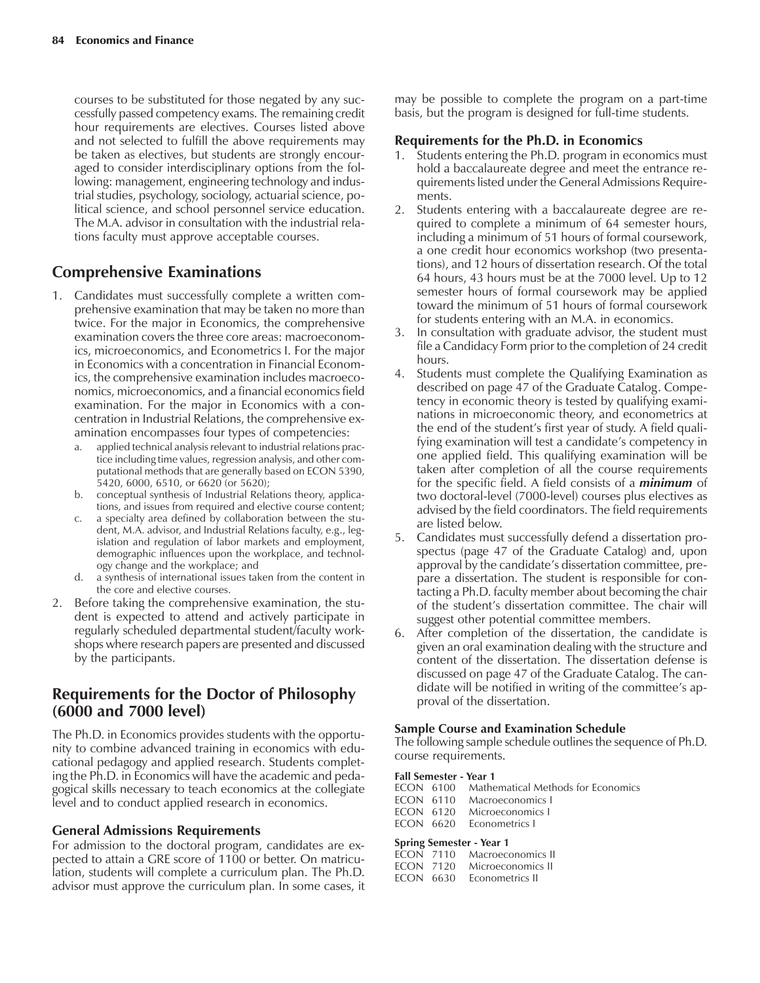courses to be substituted for those negated by any successfully passed competency exams. The remaining credit hour requirements are electives. Courses listed above and not selected to fulfill the above requirements may be taken as electives, but students are strongly encouraged to consider interdisciplinary options from the following: management, engineering technology and industrial studies, psychology, sociology, actuarial science, political science, and school personnel service education. The M.A. advisor in consultation with the industrial relations faculty must approve acceptable courses.

# **Comprehensive Examinations**

- 1. Candidates must successfully complete a written comprehensive examination that may be taken no more than twice. For the major in Economics, the comprehensive examination covers the three core areas: macroeconomics, microeconomics, and Econometrics I. For the major in Economics with a concentration in Financial Economics, the comprehensive examination includes macroeconomics, microeconomics, and a financial economics field examination. For the major in Economics with a concentration in Industrial Relations, the comprehensive examination encompasses four types of competencies:
	- a. applied technical analysis relevant to industrial relations practice including time values, regression analysis, and other computational methods that are generally based on ECON 5390, 5420, 6000, 6510, or 6620 (or 5620);
	- b. conceptual synthesis of Industrial Relations theory, applications, and issues from required and elective course content;
	- c. a specialty area defined by collaboration between the student, M.A. advisor, and Industrial Relations faculty, e.g., legislation and regulation of labor markets and employment, demographic influences upon the workplace, and technology change and the workplace; and
	- d. a synthesis of international issues taken from the content in the core and elective courses.
- 2. Before taking the comprehensive examination, the student is expected to attend and actively participate in regularly scheduled departmental student/faculty workshops where research papers are presented and discussed by the participants.

# **Requirements for the Doctor of Philosophy (6000 and 7000 level)**

The Ph.D. in Economics provides students with the opportunity to combine advanced training in economics with educational pedagogy and applied research. Students completing the Ph.D. in Economics will have the academic and pedagogical skills necessary to teach economics at the collegiate level and to conduct applied research in economics.

### **General Admissions Requirements**

For admission to the doctoral program, candidates are expected to attain a GRE score of 1100 or better. On matriculation, students will complete a curriculum plan. The Ph.D. advisor must approve the curriculum plan. In some cases, it

may be possible to complete the program on a part-time basis, but the program is designed for full-time students.

### **Requirements for the Ph.D. in Economics**

- Students entering the Ph.D. program in economics must hold a baccalaureate degree and meet the entrance requirements listed under the General Admissions Requirements.
- 2. Students entering with a baccalaureate degree are required to complete a minimum of 64 semester hours, including a minimum of 51 hours of formal coursework, a one credit hour economics workshop (two presentations), and 12 hours of dissertation research. Of the total 64 hours, 43 hours must be at the 7000 level. Up to 12 semester hours of formal coursework may be applied toward the minimum of 51 hours of formal coursework for students entering with an M.A. in economics.
- 3. In consultation with graduate advisor, the student must file a Candidacy Form prior to the completion of 24 credit hours.
- 4. Students must complete the Qualifying Examination as described on page 47 of the Graduate Catalog. Competency in economic theory is tested by qualifying examinations in microeconomic theory, and econometrics at the end of the student's first year of study. A field qualifying examination will test a candidate's competency in one applied field. This qualifying examination will be taken after completion of all the course requirements for the specific field. A field consists of a *minimum* of two doctoral-level (7000-level) courses plus electives as advised by the field coordinators. The field requirements are listed below.
- 5. Candidates must successfully defend a dissertation prospectus (page 47 of the Graduate Catalog) and, upon approval by the candidate's dissertation committee, prepare a dissertation. The student is responsible for contacting a Ph.D. faculty member about becoming the chair of the student's dissertation committee. The chair will suggest other potential committee members.
- 6. After completion of the dissertation, the candidate is given an oral examination dealing with the structure and content of the dissertation. The dissertation defense is discussed on page 47 of the Graduate Catalog. The candidate will be notified in writing of the committee's approval of the dissertation.

### **Sample Course and Examination Schedule**

The following sample schedule outlines the sequence of Ph.D. course requirements.

### **Fall Semester - Year 1**

ECON 6100 Mathematical Methods for Economics

ECON 6110 Macroeconomics I

- ECON 6120 Microeconomics I
- ECON 6620 Econometrics I

### **Spring Semester - Year 1**

| <b>FCON 7110</b> | Macroeconomics II           |
|------------------|-----------------------------|
|                  | ECON 7120 Microeconomics II |
|                  | ECON 6630 Econometrics II   |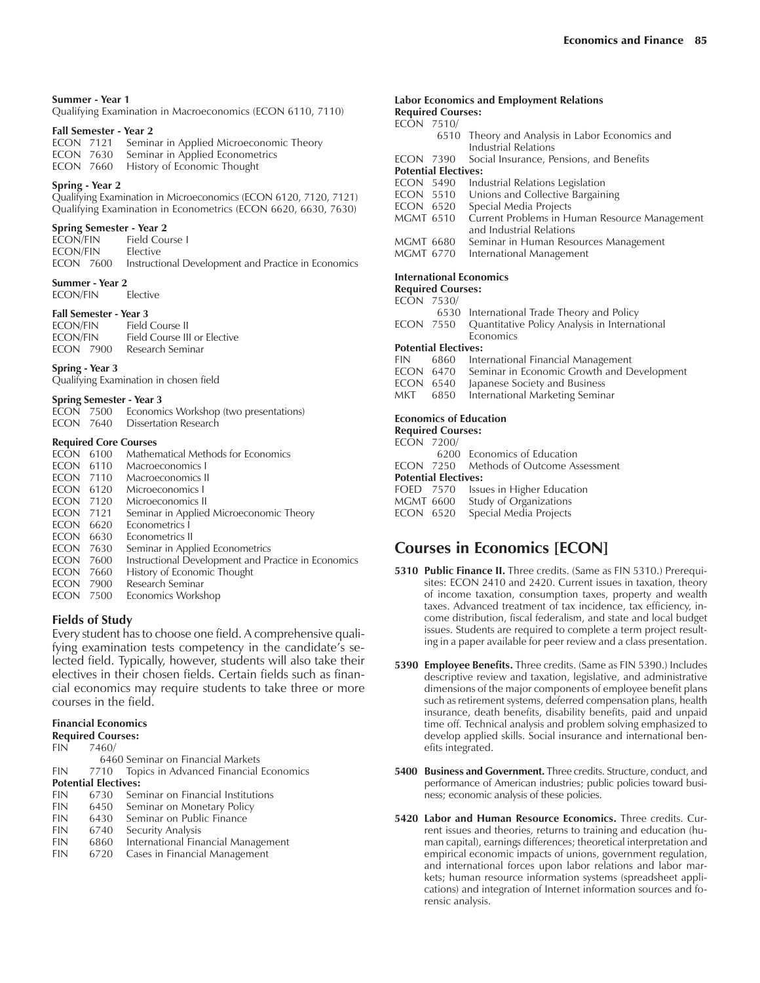### **Summer - Year 1**

Qualifying Examination in Macroeconomics (ECON 6110, 7110)

### **Fall Semester - Year 2**

|  | ECON 7121 Seminar in Applied Microeconomic Theory |
|--|---------------------------------------------------|
|  | <b>ECON</b> 7630 Seminar in Applied Econometrics  |
|  | <b>ECON</b> 7660 History of Economic Thought      |

### **Spring - Year 2**

Qualifying Examination in Microeconomics (ECON 6120, 7120, 7121) Qualifying Examination in Econometrics (ECON 6620, 6630, 7630)

### **Spring Semester - Year 2**

| ECON/FIN | Field Course L                                                |
|----------|---------------------------------------------------------------|
| ECON/FIN | <b>Elective</b>                                               |
|          | ECON 7600 Instructional Development and Practice in Economics |

**Summer - Year 2**<br>**ECON/FIN** Elective ECON/FIN

### **Fall Semester - Year 3**

| <b>ECON/FIN</b>  | Field Course II              |
|------------------|------------------------------|
| <b>ECON/FIN</b>  | Field Course III or Elective |
| <b>FCON 7900</b> | Research Seminar             |

### **Spring - Year 3**

Qualifying Examination in chosen field

### **Spring Semester - Year 3**

|  | ECON 7500 Economics Workshop (two presentations) |
|--|--------------------------------------------------|
|  | <b>FCON</b> 7640 Dissertation Research           |

### **Required Core Courses**

| <b>ECON</b>  | 6100              | <b>Mathematical Methods for Economics</b>           |
|--------------|-------------------|-----------------------------------------------------|
| <b>ECON</b>  | 6110              | Macroeconomics I                                    |
| <b>ECON</b>  | 7110              | Macroeconomics II                                   |
| <b>ECON</b>  | 6120              | Microeconomics I                                    |
| <b>ECON</b>  | 7120              | Microeconomics II                                   |
| <b>ECON</b>  | 7121              | Seminar in Applied Microeconomic Theory             |
| <b>ECON</b>  | 6620              | Econometrics I                                      |
| <b>ECON</b>  | 6630              | Econometrics II                                     |
| <b>ECON</b>  | 7630              | Seminar in Applied Econometrics                     |
| <b>ECON</b>  | 7600              | Instructional Development and Practice in Economics |
| ECON         | 7660              | History of Economic Thought                         |
| ECON         | 7900              | Research Seminar                                    |
| <b>FOOL!</b> | $  \circ$ $\circ$ | $\cdot$ , , , , , ,                                 |

ECON 7500 Economics Workshop

### **Fields of Study**

Every student has to choose one field. A comprehensive qualifying examination tests competency in the candidate's selected field. Typically, however, students will also take their electives in their chosen fields. Certain fields such as financial economics may require students to take three or more courses in the field.

### **Financial Economics**

| <b>Required Courses:</b>    |           |                                                 |  |
|-----------------------------|-----------|-------------------------------------------------|--|
|                             | FIN 7460/ |                                                 |  |
|                             |           | 6460 Seminar on Financial Markets               |  |
|                             |           | FIN 7710 Topics in Advanced Financial Economics |  |
| <b>Potential Electives:</b> |           |                                                 |  |
| <b>FIN</b>                  |           | 6730 Seminar on Financial Institutions          |  |
|                             |           | FIN 6450 Seminar on Monetary Policy             |  |
| <b>FIN</b>                  |           | 6430 Seminar on Public Finance                  |  |
| <b>FIN</b>                  |           | 6740 Security Analysis                          |  |

- FIN 6740 Security Analysis
- FIN 6860 International Financial Management
- FIN 6720 Cases in Financial Management

### **Labor Economics and Employment Relations Required Courses:**

### ECON 7510/

| 6510 Theory and Analysis in Labor Economics and |
|-------------------------------------------------|
| Industrial Relations                            |

ECON 7390 Social Insurance, Pensions, and Benefits

### **Potential Electives:**

|  | ECON 5490 |  |  | Industrial Relations Legislation |  |
|--|-----------|--|--|----------------------------------|--|
|--|-----------|--|--|----------------------------------|--|

- ECON 5510 Unions and Collective Bargaining
- 
- ECON 6520 Special Media Projects<br>MGMT 6510 Current Problems in Hu Current Problems in Human Resource Management and Industrial Relations
- MGMT 6680 Seminar in Human Resources Management<br>MGMT 6770 International Management
- International Management

### **International Economics**

### **Required Courses:**

| ECON 7530/       |                             |                                               |
|------------------|-----------------------------|-----------------------------------------------|
|                  |                             | 6530 International Trade Theory and Policy    |
| ECON 7550        |                             | Quantitative Policy Analysis in International |
|                  |                             | Economics                                     |
|                  | <b>Potential Electives:</b> |                                               |
| <b>FIN</b>       | 6860                        | International Financial Management            |
| ECON 6470        |                             | Seminar in Economic Growth and Development    |
| <b>ECON 6540</b> |                             | Japanese Society and Business                 |
| MKT              | 6850                        | International Marketing Seminar               |
|                  | <b>Required Courses:</b>    | <b>Economics of Education</b>                 |
|                  | $F \cap T$                  |                                               |

|            | nequn eu courses:           |                                         |
|------------|-----------------------------|-----------------------------------------|
| ECON 7200/ |                             |                                         |
|            |                             | 6200 Economics of Education             |
|            |                             | ECON 7250 Methods of Outcome Assessment |
|            | <b>Potential Electives:</b> |                                         |
|            |                             | FOED 7570 Issues in Higher Education    |
|            |                             | MGMT 6600 Study of Organizations        |

ECON 6520 Special Media Projects

# **Courses in Economics [ECON]**

- **5310 Public Finance II.** Three credits. (Same as FIN 5310.) Prerequisites: ECON 2410 and 2420. Current issues in taxation, theory of income taxation, consumption taxes, property and wealth taxes. Advanced treatment of tax incidence, tax efficiency, income distribution, fiscal federalism, and state and local budget issues. Students are required to complete a term project resulting in a paper available for peer review and a class presentation.
- **5390 Employee Benefits.** Three credits. (Same as FIN 5390.) Includes descriptive review and taxation, legislative, and administrative dimensions of the major components of employee benefit plans such as retirement systems, deferred compensation plans, health insurance, death benefits, disability benefits, paid and unpaid time off. Technical analysis and problem solving emphasized to develop applied skills. Social insurance and international benefits integrated.
- **5400 Business and Government.** Three credits. Structure, conduct, and performance of American industries; public policies toward business; economic analysis of these policies.
- **5420 Labor and Human Resource Economics.** Three credits. Current issues and theories, returns to training and education (human capital), earnings differences; theoretical interpretation and empirical economic impacts of unions, government regulation, and international forces upon labor relations and labor markets; human resource information systems (spreadsheet applications) and integration of Internet information sources and forensic analysis.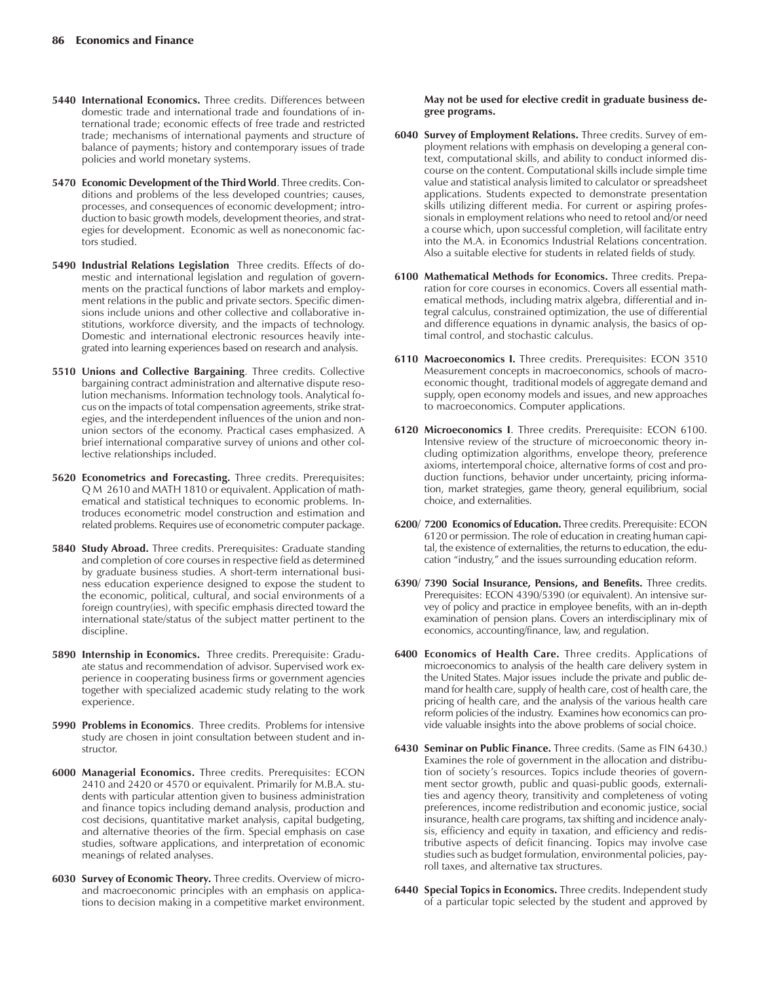- **5440 International Economics.** Three credits. Differences between domestic trade and international trade and foundations of international trade; economic effects of free trade and restricted trade; mechanisms of international payments and structure of balance of payments; history and contemporary issues of trade policies and world monetary systems.
- **5470 Economic Development of the Third World**. Three credits. Conditions and problems of the less developed countries; causes, processes, and consequences of economic development; introduction to basic growth models, development theories, and strategies for development. Economic as well as noneconomic factors studied.
- **5490 Industrial Relations Legislation** Three credits. Effects of domestic and international legislation and regulation of governments on the practical functions of labor markets and employment relations in the public and private sectors. Specific dimensions include unions and other collective and collaborative institutions, workforce diversity, and the impacts of technology. Domestic and international electronic resources heavily integrated into learning experiences based on research and analysis.
- **5510 Unions and Collective Bargaining**. Three credits. Collective bargaining contract administration and alternative dispute resolution mechanisms. Information technology tools. Analytical focus on the impacts of total compensation agreements, strike strategies, and the interdependent influences of the union and nonunion sectors of the economy. Practical cases emphasized. A brief international comparative survey of unions and other collective relationships included.
- **5620 Econometrics and Forecasting.** Three credits. Prerequisites: Q M 2610 and MATH 1810 or equivalent. Application of mathematical and statistical techniques to economic problems. Introduces econometric model construction and estimation and related problems. Requires use of econometric computer package.
- **5840 Study Abroad.** Three credits. Prerequisites: Graduate standing and completion of core courses in respective field as determined by graduate business studies. A short-term international business education experience designed to expose the student to the economic, political, cultural, and social environments of a foreign country(ies), with specific emphasis directed toward the international state/status of the subject matter pertinent to the discipline.
- **5890 Internship in Economics.** Three credits. Prerequisite: Graduate status and recommendation of advisor. Supervised work experience in cooperating business firms or government agencies together with specialized academic study relating to the work experience.
- **5990 Problems in Economics**. Three credits. Problems for intensive study are chosen in joint consultation between student and instructor.
- **6000 Managerial Economics.** Three credits. Prerequisites: ECON 2410 and 2420 or 4570 or equivalent. Primarily for M.B.A. students with particular attention given to business administration and finance topics including demand analysis, production and cost decisions, quantitative market analysis, capital budgeting, and alternative theories of the firm. Special emphasis on case studies, software applications, and interpretation of economic meanings of related analyses.
- **6030 Survey of Economic Theory.** Three credits. Overview of microand macroeconomic principles with an emphasis on applications to decision making in a competitive market environment.

### **May not be used for elective credit in graduate business degree programs.**

- **6040 Survey of Employment Relations.** Three credits. Survey of employment relations with emphasis on developing a general context, computational skills, and ability to conduct informed discourse on the content. Computational skills include simple time value and statistical analysis limited to calculator or spreadsheet applications. Students expected to demonstrate presentation skills utilizing different media. For current or aspiring professionals in employment relations who need to retool and/or need a course which, upon successful completion, will facilitate entry into the M.A. in Economics Industrial Relations concentration. Also a suitable elective for students in related fields of study.
- **6100 Mathematical Methods for Economics.** Three credits. Preparation for core courses in economics. Covers all essential mathematical methods, including matrix algebra, differential and integral calculus, constrained optimization, the use of differential and difference equations in dynamic analysis, the basics of optimal control, and stochastic calculus.
- **6110 Macroeconomics I.** Three credits. Prerequisites: ECON 3510 Measurement concepts in macroeconomics, schools of macroeconomic thought, traditional models of aggregate demand and supply, open economy models and issues, and new approaches to macroeconomics. Computer applications.
- **6120 Microeconomics I**. Three credits. Prerequisite: ECON 6100. Intensive review of the structure of microeconomic theory including optimization algorithms, envelope theory, preference axioms, intertemporal choice, alternative forms of cost and production functions, behavior under uncertainty, pricing information, market strategies, game theory, general equilibrium, social choice, and externalities.
- **6200/ 7200 Economics of Education.** Three credits. Prerequisite: ECON 6120 or permission. The role of education in creating human capital, the existence of externalities, the returns to education, the education "industry," and the issues surrounding education reform.
- **6390/ 7390 Social Insurance, Pensions, and Benefits.** Three credits. Prerequisites: ECON 4390/5390 (or equivalent). An intensive survey of policy and practice in employee benefits, with an in-depth examination of pension plans. Covers an interdisciplinary mix of economics, accounting/finance, law, and regulation.
- **6400 Economics of Health Care.** Three credits. Applications of microeconomics to analysis of the health care delivery system in the United States. Major issues include the private and public demand for health care, supply of health care, cost of health care, the pricing of health care, and the analysis of the various health care reform policies of the industry. Examines how economics can provide valuable insights into the above problems of social choice.
- **6430 Seminar on Public Finance.** Three credits. (Same as FIN 6430.) Examines the role of government in the allocation and distribution of society's resources. Topics include theories of government sector growth, public and quasi-public goods, externalities and agency theory, transitivity and completeness of voting preferences, income redistribution and economic justice, social insurance, health care programs, tax shifting and incidence analysis, efficiency and equity in taxation, and efficiency and redistributive aspects of deficit financing. Topics may involve case studies such as budget formulation, environmental policies, payroll taxes, and alternative tax structures.
- **6440 Special Topics in Economics.** Three credits. Independent study of a particular topic selected by the student and approved by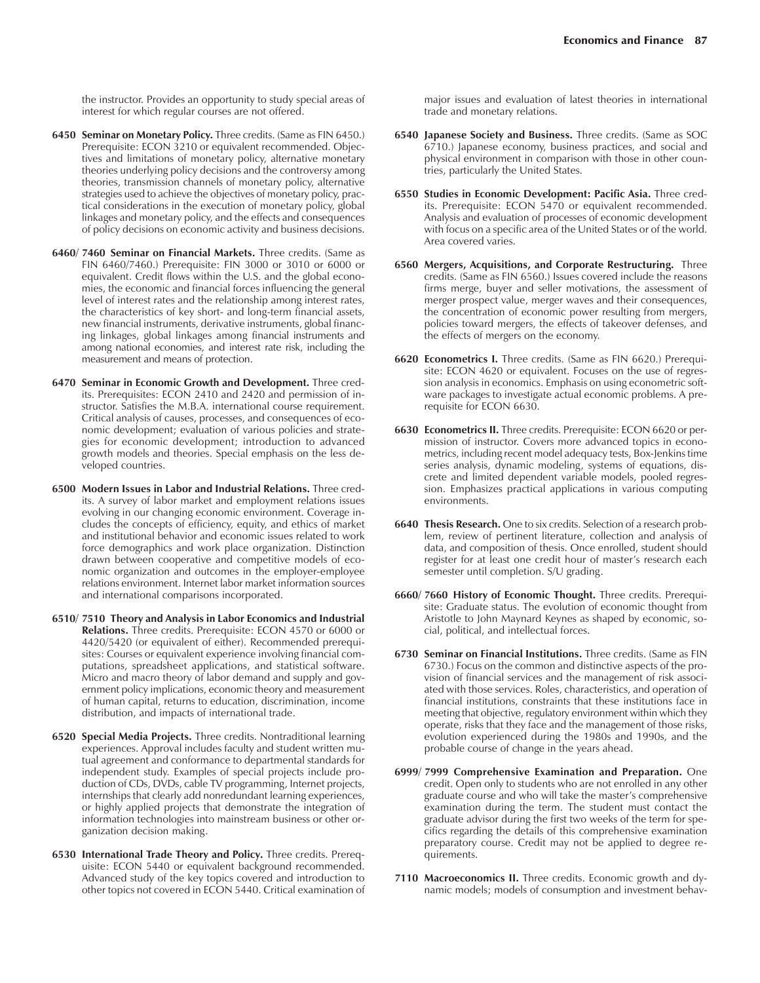the instructor. Provides an opportunity to study special areas of interest for which regular courses are not offered.

- **6450 Seminar on Monetary Policy.** Three credits. (Same as FIN 6450.) Prerequisite: ECON 3210 or equivalent recommended. Objectives and limitations of monetary policy, alternative monetary theories underlying policy decisions and the controversy among theories, transmission channels of monetary policy, alternative strategies used to achieve the objectives of monetary policy, practical considerations in the execution of monetary policy, global linkages and monetary policy, and the effects and consequences of policy decisions on economic activity and business decisions.
- **6460/ 7460 Seminar on Financial Markets.** Three credits. (Same as FIN 6460/7460.) Prerequisite: FIN 3000 or 3010 or 6000 or equivalent. Credit flows within the U.S. and the global economies, the economic and financial forces influencing the general level of interest rates and the relationship among interest rates, the characteristics of key short- and long-term financial assets, new financial instruments, derivative instruments, global financing linkages, global linkages among financial instruments and among national economies, and interest rate risk, including the measurement and means of protection.
- **6470 Seminar in Economic Growth and Development.** Three credits. Prerequisites: ECON 2410 and 2420 and permission of instructor. Satisfies the M.B.A. international course requirement. Critical analysis of causes, processes, and consequences of economic development; evaluation of various policies and strategies for economic development; introduction to advanced growth models and theories. Special emphasis on the less developed countries.
- **6500 Modern Issues in Labor and Industrial Relations.** Three credits. A survey of labor market and employment relations issues evolving in our changing economic environment. Coverage includes the concepts of efficiency, equity, and ethics of market and institutional behavior and economic issues related to work force demographics and work place organization. Distinction drawn between cooperative and competitive models of economic organization and outcomes in the employer-employee relations environment. Internet labor market information sources and international comparisons incorporated.
- **6510/ 7510 Theory and Analysis in Labor Economics and Industrial Relations.** Three credits. Prerequisite: ECON 4570 or 6000 or 4420/5420 (or equivalent of either). Recommended prerequisites: Courses or equivalent experience involving financial computations, spreadsheet applications, and statistical software. Micro and macro theory of labor demand and supply and government policy implications, economic theory and measurement of human capital, returns to education, discrimination, income distribution, and impacts of international trade.
- **6520 Special Media Projects.** Three credits. Nontraditional learning experiences. Approval includes faculty and student written mutual agreement and conformance to departmental standards for independent study. Examples of special projects include production of CDs, DVDs, cable TV programming, Internet projects, internships that clearly add nonredundant learning experiences, or highly applied projects that demonstrate the integration of information technologies into mainstream business or other organization decision making.
- **6530 International Trade Theory and Policy.** Three credits. Prerequisite: ECON 5440 or equivalent background recommended. Advanced study of the key topics covered and introduction to other topics not covered in ECON 5440. Critical examination of

major issues and evaluation of latest theories in international trade and monetary relations.

- **6540 Japanese Society and Business.** Three credits. (Same as SOC 6710.) Japanese economy, business practices, and social and physical environment in comparison with those in other countries, particularly the United States.
- **6550 Studies in Economic Development: Pacific Asia.** Three credits. Prerequisite: ECON 5470 or equivalent recommended. Analysis and evaluation of processes of economic development with focus on a specific area of the United States or of the world. Area covered varies.
- **6560 Mergers, Acquisitions, and Corporate Restructuring.** Three credits. (Same as FIN 6560.) Issues covered include the reasons firms merge, buyer and seller motivations, the assessment of merger prospect value, merger waves and their consequences, the concentration of economic power resulting from mergers, policies toward mergers, the effects of takeover defenses, and the effects of mergers on the economy.
- **6620 Econometrics I.** Three credits. (Same as FIN 6620.) Prerequisite: ECON 4620 or equivalent. Focuses on the use of regression analysis in economics. Emphasis on using econometric software packages to investigate actual economic problems. A prerequisite for ECON 6630.
- **6630 Econometrics II.** Three credits. Prerequisite: ECON 6620 or permission of instructor. Covers more advanced topics in econometrics, including recent model adequacy tests, Box-Jenkins time series analysis, dynamic modeling, systems of equations, discrete and limited dependent variable models, pooled regression. Emphasizes practical applications in various computing environments.
- **6640 Thesis Research.** One to six credits. Selection of a research problem, review of pertinent literature, collection and analysis of data, and composition of thesis. Once enrolled, student should register for at least one credit hour of master's research each semester until completion. S/U grading.
- **6660/ 7660 History of Economic Thought.** Three credits. Prerequisite: Graduate status. The evolution of economic thought from Aristotle to John Maynard Keynes as shaped by economic, social, political, and intellectual forces.
- **6730 Seminar on Financial Institutions.** Three credits. (Same as FIN 6730.) Focus on the common and distinctive aspects of the provision of financial services and the management of risk associated with those services. Roles, characteristics, and operation of financial institutions, constraints that these institutions face in meeting that objective, regulatory environment within which they operate, risks that they face and the management of those risks, evolution experienced during the 1980s and 1990s, and the probable course of change in the years ahead.
- **6999/ 7999 Comprehensive Examination and Preparation.** One credit. Open only to students who are not enrolled in any other graduate course and who will take the master's comprehensive examination during the term. The student must contact the graduate advisor during the first two weeks of the term for specifics regarding the details of this comprehensive examination preparatory course. Credit may not be applied to degree requirements.
- **7110 Macroeconomics II.** Three credits. Economic growth and dynamic models; models of consumption and investment behav-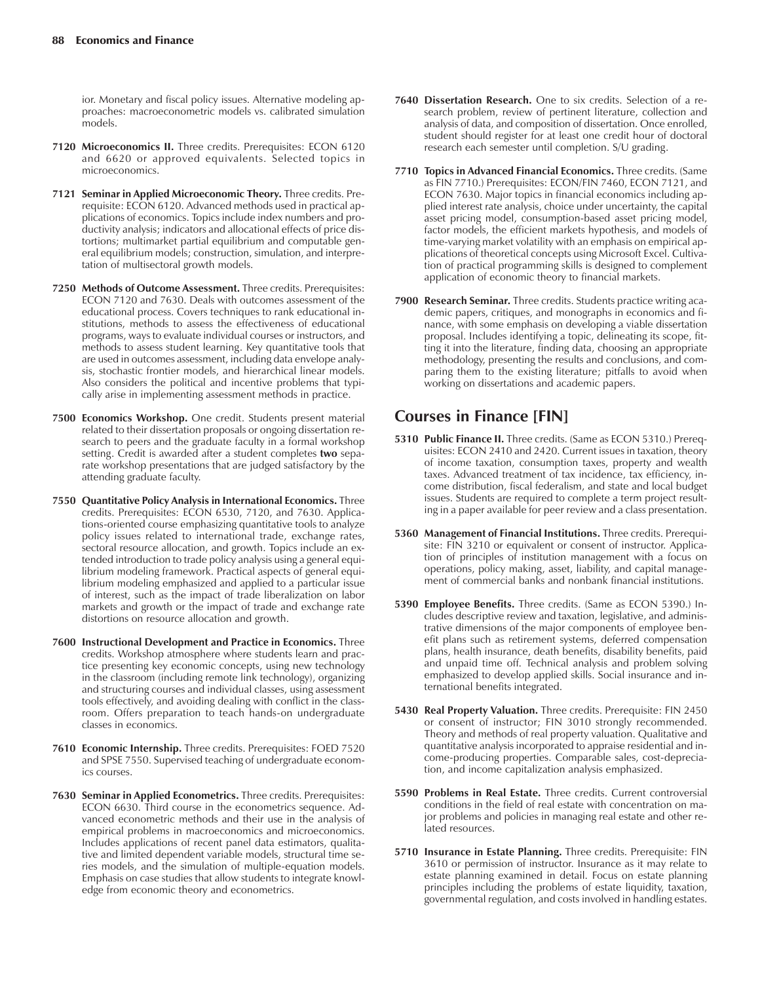ior. Monetary and fiscal policy issues. Alternative modeling approaches: macroeconometric models vs. calibrated simulation models.

- **7120 Microeconomics II.** Three credits. Prerequisites: ECON 6120 and 6620 or approved equivalents. Selected topics in microeconomics.
- **7121 Seminar in Applied Microeconomic Theory.** Three credits. Prerequisite: ECON 6120. Advanced methods used in practical applications of economics. Topics include index numbers and productivity analysis; indicators and allocational effects of price distortions; multimarket partial equilibrium and computable general equilibrium models; construction, simulation, and interpretation of multisectoral growth models.
- **7250 Methods of Outcome Assessment.** Three credits. Prerequisites: ECON 7120 and 7630. Deals with outcomes assessment of the educational process. Covers techniques to rank educational institutions, methods to assess the effectiveness of educational programs, ways to evaluate individual courses or instructors, and methods to assess student learning. Key quantitative tools that are used in outcomes assessment, including data envelope analysis, stochastic frontier models, and hierarchical linear models. Also considers the political and incentive problems that typically arise in implementing assessment methods in practice.
- **7500 Economics Workshop.** One credit. Students present material related to their dissertation proposals or ongoing dissertation research to peers and the graduate faculty in a formal workshop setting. Credit is awarded after a student completes **two** separate workshop presentations that are judged satisfactory by the attending graduate faculty.
- **7550 Quantitative Policy Analysis in International Economics.** Three credits. Prerequisites: ECON 6530, 7120, and 7630. Applications-oriented course emphasizing quantitative tools to analyze policy issues related to international trade, exchange rates, sectoral resource allocation, and growth. Topics include an extended introduction to trade policy analysis using a general equilibrium modeling framework. Practical aspects of general equilibrium modeling emphasized and applied to a particular issue of interest, such as the impact of trade liberalization on labor markets and growth or the impact of trade and exchange rate distortions on resource allocation and growth.
- **7600 Instructional Development and Practice in Economics.** Three credits. Workshop atmosphere where students learn and practice presenting key economic concepts, using new technology in the classroom (including remote link technology), organizing and structuring courses and individual classes, using assessment tools effectively, and avoiding dealing with conflict in the classroom. Offers preparation to teach hands-on undergraduate classes in economics.
- **7610 Economic Internship.** Three credits. Prerequisites: FOED 7520 and SPSE 7550. Supervised teaching of undergraduate economics courses.
- **7630 Seminar in Applied Econometrics.** Three credits. Prerequisites: ECON 6630. Third course in the econometrics sequence. Advanced econometric methods and their use in the analysis of empirical problems in macroeconomics and microeconomics. Includes applications of recent panel data estimators, qualitative and limited dependent variable models, structural time series models, and the simulation of multiple-equation models. Emphasis on case studies that allow students to integrate knowledge from economic theory and econometrics.
- **7640 Dissertation Research.** One to six credits. Selection of a research problem, review of pertinent literature, collection and analysis of data, and composition of dissertation. Once enrolled, student should register for at least one credit hour of doctoral research each semester until completion. S/U grading.
- **7710 Topics in Advanced Financial Economics.** Three credits. (Same as FIN 7710.) Prerequisites: ECON/FIN 7460, ECON 7121, and ECON 7630. Major topics in financial economics including applied interest rate analysis, choice under uncertainty, the capital asset pricing model, consumption-based asset pricing model, factor models, the efficient markets hypothesis, and models of time-varying market volatility with an emphasis on empirical applications of theoretical concepts using Microsoft Excel. Cultivation of practical programming skills is designed to complement application of economic theory to financial markets.
- **7900 Research Seminar.** Three credits. Students practice writing academic papers, critiques, and monographs in economics and finance, with some emphasis on developing a viable dissertation proposal. Includes identifying a topic, delineating its scope, fitting it into the literature, finding data, choosing an appropriate methodology, presenting the results and conclusions, and comparing them to the existing literature; pitfalls to avoid when working on dissertations and academic papers.

# **Courses in Finance [FIN]**

- **5310 Public Finance II.** Three credits. (Same as ECON 5310.) Prerequisites: ECON 2410 and 2420. Current issues in taxation, theory of income taxation, consumption taxes, property and wealth taxes. Advanced treatment of tax incidence, tax efficiency, income distribution, fiscal federalism, and state and local budget issues. Students are required to complete a term project resulting in a paper available for peer review and a class presentation.
- **5360 Management of Financial Institutions.** Three credits. Prerequisite: FIN 3210 or equivalent or consent of instructor. Application of principles of institution management with a focus on operations, policy making, asset, liability, and capital management of commercial banks and nonbank financial institutions.
- **5390 Employee Benefits.** Three credits. (Same as ECON 5390.) Includes descriptive review and taxation, legislative, and administrative dimensions of the major components of employee benefit plans such as retirement systems, deferred compensation plans, health insurance, death benefits, disability benefits, paid and unpaid time off. Technical analysis and problem solving emphasized to develop applied skills. Social insurance and international benefits integrated.
- **5430 Real Property Valuation.** Three credits. Prerequisite: FIN 2450 or consent of instructor; FIN 3010 strongly recommended. Theory and methods of real property valuation. Qualitative and quantitative analysis incorporated to appraise residential and income-producing properties. Comparable sales, cost-depreciation, and income capitalization analysis emphasized.
- **5590 Problems in Real Estate.** Three credits. Current controversial conditions in the field of real estate with concentration on major problems and policies in managing real estate and other related resources.
- **5710 Insurance in Estate Planning.** Three credits. Prerequisite: FIN 3610 or permission of instructor. Insurance as it may relate to estate planning examined in detail. Focus on estate planning principles including the problems of estate liquidity, taxation, governmental regulation, and costs involved in handling estates.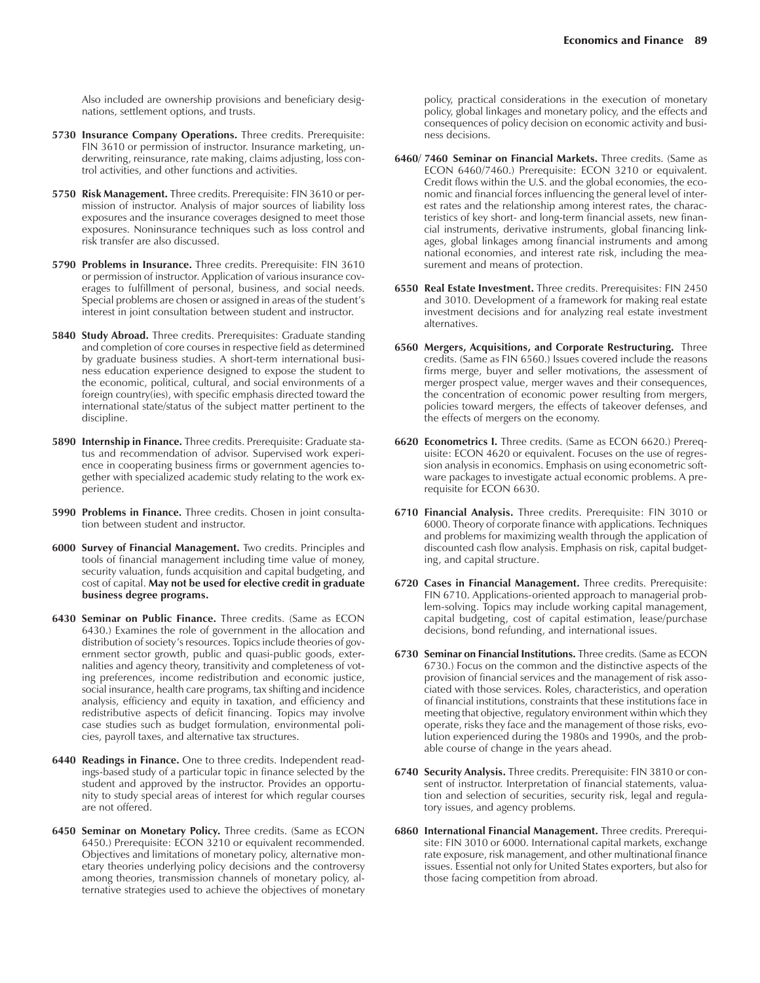Also included are ownership provisions and beneficiary designations, settlement options, and trusts.

- **5730 Insurance Company Operations.** Three credits. Prerequisite: FIN 3610 or permission of instructor. Insurance marketing, underwriting, reinsurance, rate making, claims adjusting, loss control activities, and other functions and activities.
- **5750 Risk Management.** Three credits. Prerequisite: FIN 3610 or permission of instructor. Analysis of major sources of liability loss exposures and the insurance coverages designed to meet those exposures. Noninsurance techniques such as loss control and risk transfer are also discussed.
- **5790 Problems in Insurance.** Three credits. Prerequisite: FIN 3610 or permission of instructor. Application of various insurance coverages to fulfillment of personal, business, and social needs. Special problems are chosen or assigned in areas of the student's interest in joint consultation between student and instructor.
- **5840 Study Abroad.** Three credits. Prerequisites: Graduate standing and completion of core courses in respective field as determined by graduate business studies. A short-term international business education experience designed to expose the student to the economic, political, cultural, and social environments of a foreign country(ies), with specific emphasis directed toward the international state/status of the subject matter pertinent to the discipline.
- **5890 Internship in Finance.** Three credits. Prerequisite: Graduate status and recommendation of advisor. Supervised work experience in cooperating business firms or government agencies together with specialized academic study relating to the work experience.
- **5990 Problems in Finance.** Three credits. Chosen in joint consultation between student and instructor.
- **6000 Survey of Financial Management.** Two credits. Principles and tools of financial management including time value of money, security valuation, funds acquisition and capital budgeting, and cost of capital. **May not be used for elective credit in graduate business degree programs.**
- **6430 Seminar on Public Finance.** Three credits. (Same as ECON 6430.) Examines the role of government in the allocation and distribution of society's resources. Topics include theories of government sector growth, public and quasi-public goods, externalities and agency theory, transitivity and completeness of voting preferences, income redistribution and economic justice, social insurance, health care programs, tax shifting and incidence analysis, efficiency and equity in taxation, and efficiency and redistributive aspects of deficit financing. Topics may involve case studies such as budget formulation, environmental policies, payroll taxes, and alternative tax structures.
- **6440 Readings in Finance.** One to three credits. Independent readings-based study of a particular topic in finance selected by the student and approved by the instructor. Provides an opportunity to study special areas of interest for which regular courses are not offered.
- **6450 Seminar on Monetary Policy.** Three credits. (Same as ECON 6450.) Prerequisite: ECON 3210 or equivalent recommended. Objectives and limitations of monetary policy, alternative monetary theories underlying policy decisions and the controversy among theories, transmission channels of monetary policy, alternative strategies used to achieve the objectives of monetary

policy, practical considerations in the execution of monetary policy, global linkages and monetary policy, and the effects and consequences of policy decision on economic activity and business decisions.

- **6460/ 7460 Seminar on Financial Markets.** Three credits. (Same as ECON 6460/7460.) Prerequisite: ECON 3210 or equivalent. Credit flows within the U.S. and the global economies, the economic and financial forces influencing the general level of interest rates and the relationship among interest rates, the characteristics of key short- and long-term financial assets, new financial instruments, derivative instruments, global financing linkages, global linkages among financial instruments and among national economies, and interest rate risk, including the measurement and means of protection.
- **6550 Real Estate Investment.** Three credits. Prerequisites: FIN 2450 and 3010. Development of a framework for making real estate investment decisions and for analyzing real estate investment alternatives.
- **6560 Mergers, Acquisitions, and Corporate Restructuring.** Three credits. (Same as FIN 6560.) Issues covered include the reasons firms merge, buyer and seller motivations, the assessment of merger prospect value, merger waves and their consequences, the concentration of economic power resulting from mergers, policies toward mergers, the effects of takeover defenses, and the effects of mergers on the economy.
- **6620 Econometrics I.** Three credits. (Same as ECON 6620.) Prerequisite: ECON 4620 or equivalent. Focuses on the use of regression analysis in economics. Emphasis on using econometric software packages to investigate actual economic problems. A prerequisite for ECON 6630.
- **6710 Financial Analysis.** Three credits. Prerequisite: FIN 3010 or 6000. Theory of corporate finance with applications. Techniques and problems for maximizing wealth through the application of discounted cash flow analysis. Emphasis on risk, capital budgeting, and capital structure.
- **6720 Cases in Financial Management.** Three credits. Prerequisite: FIN 6710. Applications-oriented approach to managerial problem-solving. Topics may include working capital management, capital budgeting, cost of capital estimation, lease/purchase decisions, bond refunding, and international issues.
- **6730 Seminar on Financial Institutions.** Three credits. (Same as ECON 6730.) Focus on the common and the distinctive aspects of the provision of financial services and the management of risk associated with those services. Roles, characteristics, and operation of financial institutions, constraints that these institutions face in meeting that objective, regulatory environment within which they operate, risks they face and the management of those risks, evolution experienced during the 1980s and 1990s, and the probable course of change in the years ahead.
- **6740 Security Analysis.** Three credits. Prerequisite: FIN 3810 or consent of instructor. Interpretation of financial statements, valuation and selection of securities, security risk, legal and regulatory issues, and agency problems.
- **6860 International Financial Management.** Three credits. Prerequisite: FIN 3010 or 6000. International capital markets, exchange rate exposure, risk management, and other multinational finance issues. Essential not only for United States exporters, but also for those facing competition from abroad.